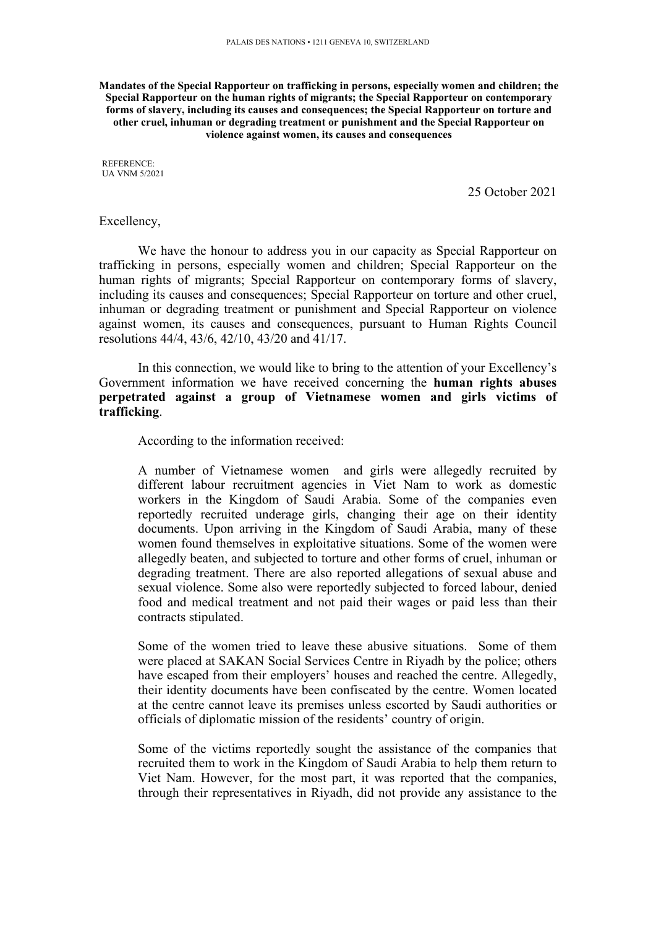**Mandates of the Special Rapporteur on trafficking in persons, especially women and children; the Special Rapporteur on the human rights of migrants; the Special Rapporteur on contemporary forms of slavery, including its causes and consequences; the Special Rapporteur on torture and other cruel, inhuman or degrading treatment or punishment and the Special Rapporteur on violence against women, its causes and consequences**

REFERENCE: UA VNM 5/2021

25 October 2021

## Excellency,

We have the honour to address you in our capacity as Special Rapporteur on trafficking in persons, especially women and children; Special Rapporteur on the human rights of migrants; Special Rapporteur on contemporary forms of slavery, including its causes and consequences; Special Rapporteur on torture and other cruel, inhuman or degrading treatment or punishment and Special Rapporteur on violence against women, its causes and consequences, pursuan<sup>t</sup> to Human Rights Council resolutions 44/4, 43/6, 42/10, 43/20 and 41/17.

In this connection, we would like to bring to the attention of your Excellency'<sup>s</sup> Government information we have received concerning the **human rights abuses perpetrated against <sup>a</sup> group of Vietnamese women and girls victims of trafficking**.

According to the information received:

A number of Vietnamese women and girls were allegedly recruited by different labour recruitment agencies in Viet Nam to work as domestic workers in the Kingdom of Saudi Arabia. Some of the companies even reportedly recruited underage girls, changing their age on their identity documents. Upon arriving in the Kingdom of Saudi Arabia, many of these women found themselves in exploitative situations. Some of the women were allegedly beaten, and subjected to torture and other forms of cruel, inhuman or degrading treatment. There are also reported allegations of sexual abuse and sexual violence. Some also were reportedly subjected to forced labour, denied food and medical treatment and not paid their wages or paid less than their contracts stipulated.

Some of the women tried to leave these abusive situations. Some of them were placed at SAKAN Social Services Centre in Riyadh by the police; others have escaped from their employers' houses and reached the centre. Allegedly, their identity documents have been confiscated by the centre. Women located at the centre cannot leave its premises unless escorted by Saudi authorities or officials of diplomatic mission of the residents' country of origin.

Some of the victims reportedly sought the assistance of the companies that recruited them to work in the Kingdom of Saudi Arabia to help them return to Viet Nam. However, for the most part, it was reported that the companies, through their representatives in Riyadh, did not provide any assistance to the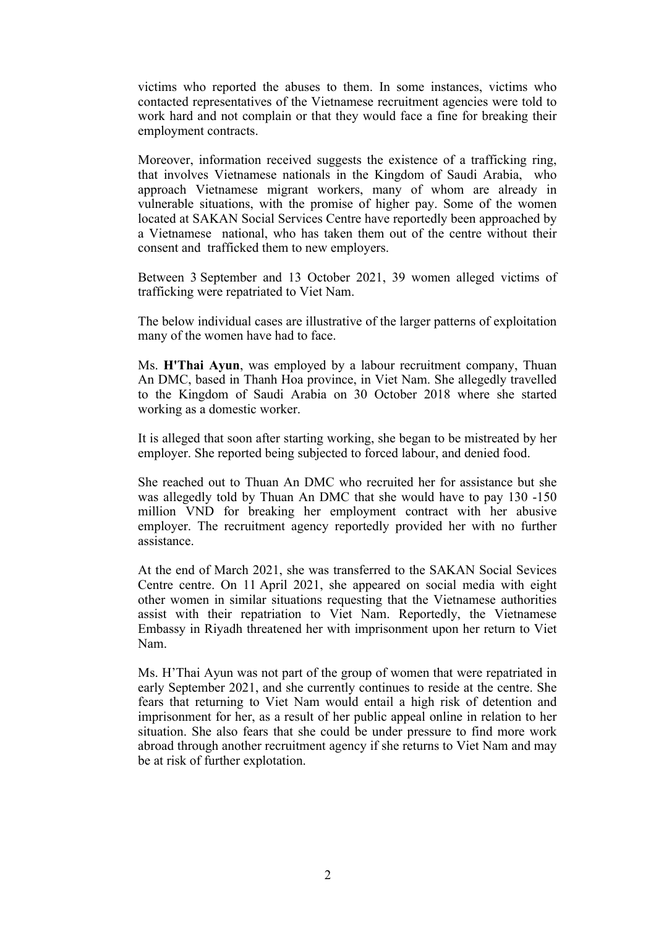victims who reported the abuses to them. In some instances, victims who contacted representatives of the Vietnamese recruitment agencies were told to work hard and not complain or that they would face <sup>a</sup> fine for breaking their employment contracts.

Moreover, information received suggests the existence of <sup>a</sup> trafficking ring, that involves Vietnamese nationals in the Kingdom of Saudi Arabia, who approach Vietnamese migrant workers, many of whom are already in vulnerable situations, with the promise of higher pay. Some of the women located at SAKAN Social Services Centre have reportedly been approached by <sup>a</sup> Vietnamese national, who has taken them out of the centre without their consent and trafficked them to new employers.

Between 3 September and 13 October 2021, 39 women alleged victims of trafficking were repatriated to Viet Nam.

The below individual cases are illustrative of the larger patterns of exploitation many of the women have had to face.

Ms. **H'Thai Ayun**, was employed by <sup>a</sup> labour recruitment company, Thuan An DMC, based in Thanh Hoa province, in Viet Nam. She allegedly travelled to the Kingdom of Saudi Arabia on 30 October 2018 where she started working as <sup>a</sup> domestic worker.

It is alleged that soon after starting working, she began to be mistreated by her employer. She reported being subjected to forced labour, and denied food.

She reached out to Thuan An DMC who recruited her for assistance but she was allegedly told by Thuan An DMC that she would have to pay 130 -150 million VND for breaking her employment contract with her abusive employer. The recruitment agency reportedly provided her with no further assistance.

At the end of March 2021, she was transferred to the SAKAN Social Sevices Centre centre. On 11 April 2021, she appeared on social media with eight other women in similar situations requesting that the Vietnamese authorities assist with their repatriation to Viet Nam. Reportedly, the Vietnamese Embassy in Riyadh threatened her with imprisonment upon her return to Viet Nam.

Ms. H'Thai Ayun was not par<sup>t</sup> of the group of women that were repatriated in early September 2021, and she currently continues to reside at the centre. She fears that returning to Viet Nam would entail <sup>a</sup> high risk of detention and imprisonment for her, as <sup>a</sup> result of her public appeal online in relation to her situation. She also fears that she could be under pressure to find more work abroad through another recruitment agency if she returns to Viet Nam and may be at risk of further explotation.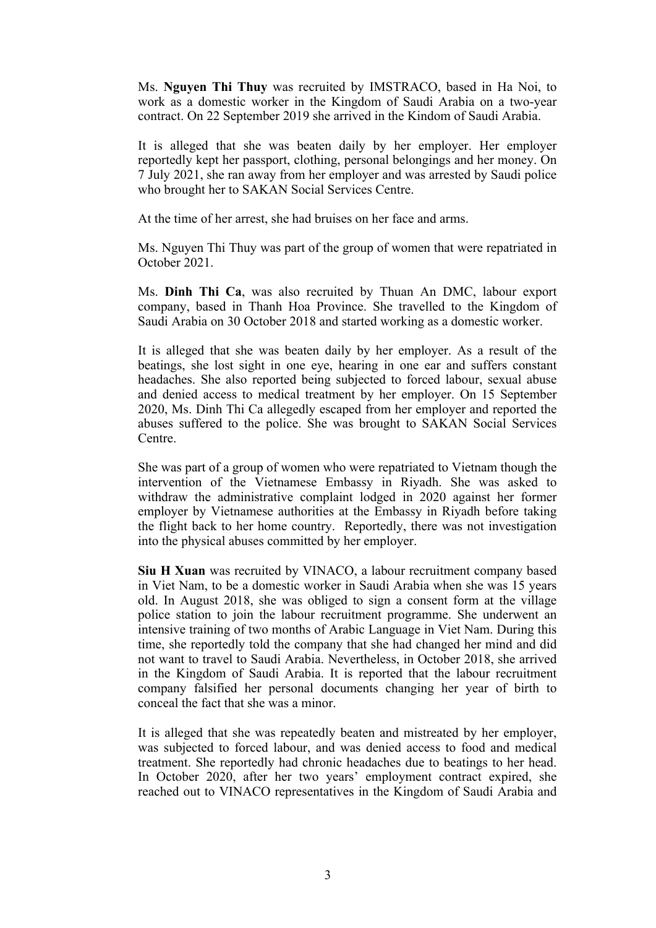Ms. **Nguyen Thi Thuy** was recruited by IMSTRACO, based in Ha Noi, to work as <sup>a</sup> domestic worker in the Kingdom of Saudi Arabia on <sup>a</sup> two-year contract. On 22 September 2019 she arrived in the Kindom of Saudi Arabia.

It is alleged that she was beaten daily by her employer. Her employer reportedly kept her passport, clothing, personal belongings and her money. On 7 July 2021, she ran away from her employer and was arrested by Saudi police who brought her to SAKAN Social Services Centre.

At the time of her arrest, she had bruises on her face and arms.

Ms. Nguyen Thi Thuy was par<sup>t</sup> of the group of women that were repatriated in October 2021.

Ms. **Dinh Thi Ca**, was also recruited by Thuan An DMC, labour expor<sup>t</sup> company, based in Thanh Hoa Province. She travelled to the Kingdom of Saudi Arabia on 30 October 2018 and started working as <sup>a</sup> domestic worker.

It is alleged that she was beaten daily by her employer. As <sup>a</sup> result of the beatings, she lost sight in one eye, hearing in one ear and suffers constant headaches. She also reported being subjected to forced labour, sexual abuse and denied access to medical treatment by her employer. On 15 September 2020, Ms. Dinh Thi Ca allegedly escaped from her employer and reported the abuses suffered to the police. She was brought to SAKAN Social Services Centre.

She was par<sup>t</sup> of <sup>a</sup> group of women who were repatriated to Vietnam though the intervention of the Vietnamese Embassy in Riyadh. She was asked to withdraw the administrative complaint lodged in 2020 against her former employer by Vietnamese authorities at the Embassy in Riyadh before taking the flight back to her home country. Reportedly, there was not investigation into the physical abuses committed by her employer.

**Siu H Xuan** was recruited by VINACO, <sup>a</sup> labour recruitment company based in Viet Nam, to be <sup>a</sup> domestic worker in Saudi Arabia when she was 15 years old. In August 2018, she was obliged to sign <sup>a</sup> consent form at the village police station to join the labour recruitment programme. She underwent an intensive training of two months of Arabic Language in Viet Nam. During this time, she reportedly told the company that she had changed her mind and did not want to travel to Saudi Arabia. Nevertheless, in October 2018, she arrived in the Kingdom of Saudi Arabia. It is reported that the labour recruitment company falsified her personal documents changing her year of birth to conceal the fact that she was <sup>a</sup> minor.

It is alleged that she was repeatedly beaten and mistreated by her employer, was subjected to forced labour, and was denied access to food and medical treatment. She reportedly had chronic headaches due to beatings to her head. In October 2020, after her two years' employment contract expired, she reached out to VINACO representatives in the Kingdom of Saudi Arabia and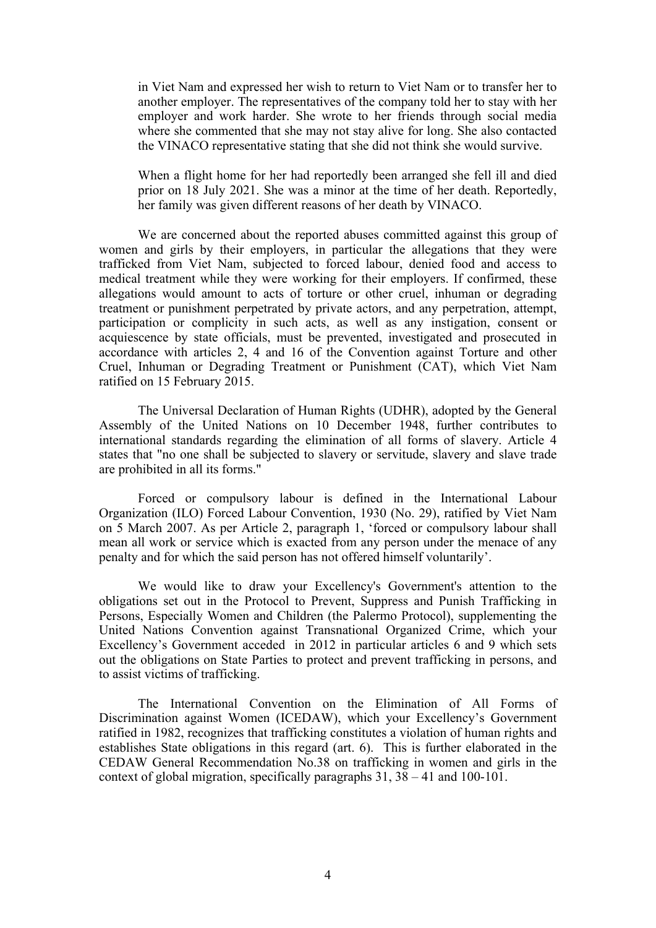in Viet Nam and expressed her wish to return to Viet Nam or to transfer her to another employer. The representatives of the company told her to stay with her employer and work harder. She wrote to her friends through social media where she commented that she may not stay alive for long. She also contacted the VINACO representative stating that she did not think she would survive.

When <sup>a</sup> flight home for her had reportedly been arranged she fell ill and died prior on 18 July 2021. She was <sup>a</sup> minor at the time of her death. Reportedly, her family was given different reasons of her death by VINACO.

We are concerned about the reported abuses committed against this group of women and girls by their employers, in particular the allegations that they were trafficked from Viet Nam, subjected to forced labour, denied food and access to medical treatment while they were working for their employers. If confirmed, these allegations would amount to acts of torture or other cruel, inhuman or degrading treatment or punishment perpetrated by private actors, and any perpetration, attempt, participation or complicity in such acts, as well as any instigation, consent or acquiescence by state officials, must be prevented, investigated and prosecuted in accordance with articles 2, 4 and 16 of the Convention against Torture and other Cruel, Inhuman or Degrading Treatment or Punishment (CAT), which Viet Nam ratified on 15 February 2015.

The Universal Declaration of Human Rights (UDHR), adopted by the General Assembly of the United Nations on 10 December 1948, further contributes to international standards regarding the elimination of all forms of slavery. Article 4 states that "no one shall be subjected to slavery or servitude, slavery and slave trade are prohibited in all its forms."

Forced or compulsory labour is defined in the International Labour Organization (ILO) Forced Labour Convention, 1930 (No. 29), ratified by Viet Nam on 5 March 2007. As per Article 2, paragraph 1, 'forced or compulsory labour shall mean all work or service which is exacted from any person under the menace of any penalty and for which the said person has not offered himself voluntarily'.

We would like to draw your Excellency's Government's attention to the obligations set out in the Protocol to Prevent, Suppress and Punish Trafficking in Persons, Especially Women and Children (the Palermo Protocol), supplementing the United Nations Convention against Transnational Organized Crime, which your Excellency'<sup>s</sup> Government acceded in 2012 in particular articles 6 and 9 which sets out the obligations on State Parties to protect and preven<sup>t</sup> trafficking in persons, and to assist victims of trafficking.

The International Convention on the Elimination of All Forms of Discrimination against Women (ICEDAW), which your Excellency'<sup>s</sup> Government ratified in 1982, recognizes that trafficking constitutes <sup>a</sup> violation of human rights and establishes State obligations in this regard (art. 6). This is further elaborated in the CEDAW General Recommendation No.38 on trafficking in women and girls in the context of global migration, specifically paragraphs 31, 38 – 41 and 100-101.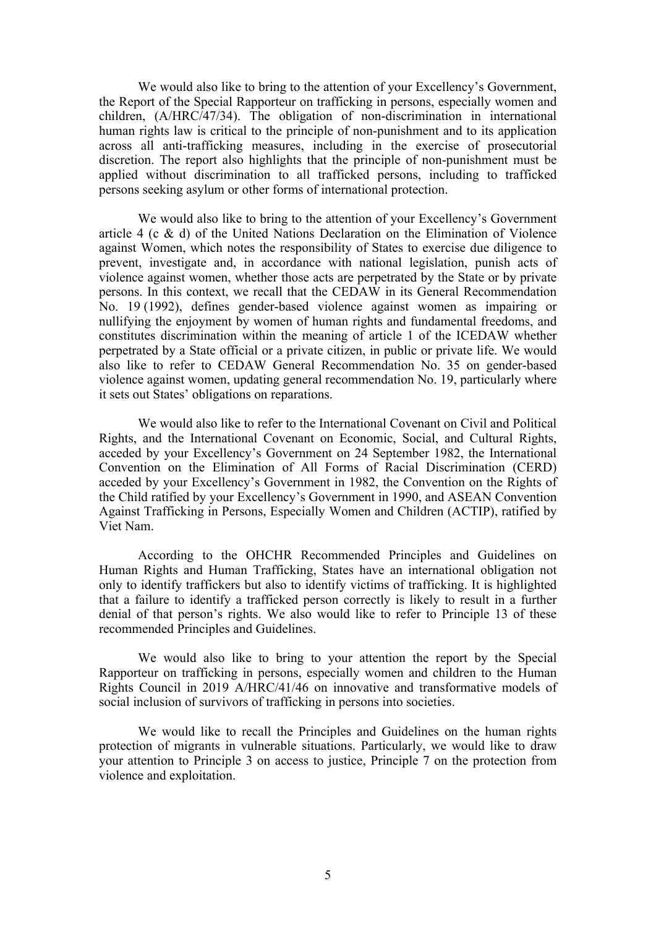We would also like to bring to the attention of your Excellency'<sup>s</sup> Government, the Report of the Special Rapporteur on trafficking in persons, especially women and children, (A/HRC/47/34). The obligation of non-discrimination in international human rights law is critical to the principle of non-punishment and to its application across all anti-trafficking measures, including in the exercise of prosecutorial discretion. The repor<sup>t</sup> also highlights that the principle of non-punishment must be applied without discrimination to all trafficked persons, including to trafficked persons seeking asylum or other forms of international protection.

We would also like to bring to the attention of your Excellency'<sup>s</sup> Government article 4 (c & d) of the United Nations Declaration on the Elimination of Violence against Women, which notes the responsibility of States to exercise due diligence to prevent, investigate and, in accordance with national legislation, punish acts of violence against women, whether those acts are perpetrated by the State or by private persons. In this context, we recall that the CEDAW in its General Recommendation No. 19 (1992), defines gender-based violence against women as impairing or nullifying the enjoyment by women of human rights and fundamental freedoms, and constitutes discrimination within the meaning of article 1 of the ICEDAW whether perpetrated by <sup>a</sup> State official or <sup>a</sup> private citizen, in public or private life. We would also like to refer to CEDAW General Recommendation No. 35 on gender-based violence against women, updating general recommendation No. 19, particularly where it sets out States' obligations on reparations.

We would also like to refer to the International Covenant on Civil and Political Rights, and the International Covenant on Economic, Social, and Cultural Rights, acceded by your Excellency'<sup>s</sup> Government on 24 September 1982, the International Convention on the Elimination of All Forms of Racial Discrimination (CERD) acceded by your Excellency'<sup>s</sup> Government in 1982, the Convention on the Rights of the Child ratified by your Excellency'<sup>s</sup> Government in 1990, and ASEAN Convention Against Trafficking in Persons, Especially Women and Children (ACTIP), ratified by Viet Nam.

According to the OHCHR Recommended Principles and Guidelines on Human Rights and Human Trafficking, States have an international obligation not only to identify traffickers but also to identify victims of trafficking. It is highlighted that <sup>a</sup> failure to identify <sup>a</sup> trafficked person correctly is likely to result in <sup>a</sup> further denial of that person'<sup>s</sup> rights. We also would like to refer to Principle 13 of these recommended Principles and Guidelines.

We would also like to bring to your attention the repor<sup>t</sup> by the Special Rapporteur on trafficking in persons, especially women and children to the Human Rights Council in 2019 A/HRC/41/46 on innovative and transformative models of social inclusion of survivors of trafficking in persons into societies.

We would like to recall the Principles and Guidelines on the human rights protection of migrants in vulnerable situations. Particularly, we would like to draw your attention to Principle 3 on access to justice, Principle 7 on the protection from violence and exploitation.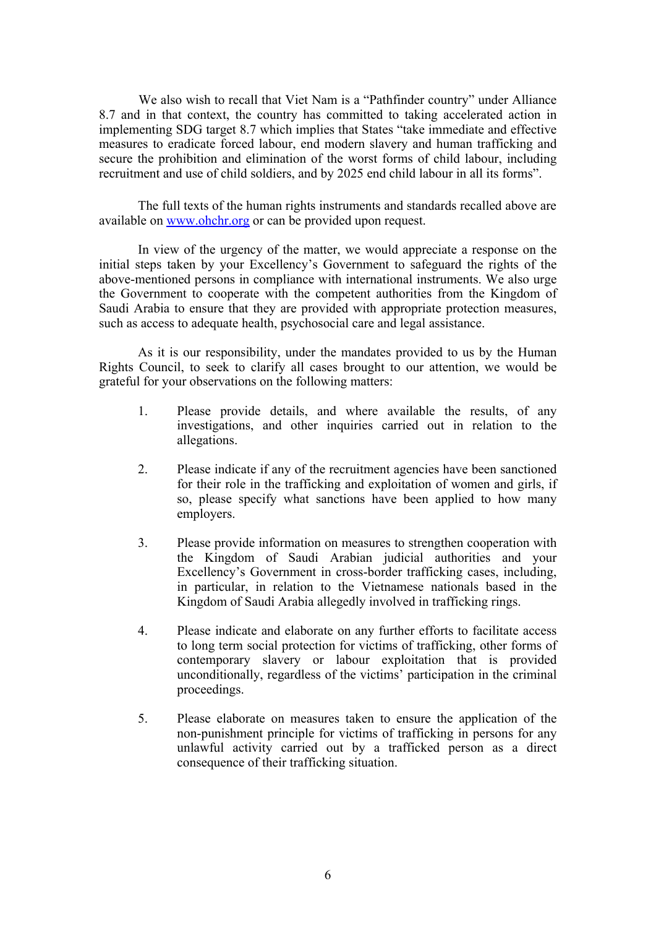We also wish to recall that Viet Nam is <sup>a</sup> "Pathfinder country" under Alliance 8.7 and in that context, the country has committed to taking accelerated action in implementing SDG target 8.7 which implies that States "take immediate and effective measures to eradicate forced labour, end modern slavery and human trafficking and secure the prohibition and elimination of the worst forms of child labour, including recruitment and use of child soldiers, and by 2025 end child labour in all its forms".

The full texts of the human rights instruments and standards recalled above are available on [www.ohchr.org](http://www.ohchr.org) or can be provided upon request.

In view of the urgency of the matter, we would appreciate <sup>a</sup> response on the initial steps taken by your Excellency'<sup>s</sup> Government to safeguard the rights of the above-mentioned persons in compliance with international instruments. We also urge the Government to cooperate with the competent authorities from the Kingdom of Saudi Arabia to ensure that they are provided with appropriate protection measures, such as access to adequate health, psychosocial care and legal assistance.

As it is our responsibility, under the mandates provided to us by the Human Rights Council, to seek to clarify all cases brought to our attention, we would be grateful for your observations on the following matters:

- 1. Please provide details, and where available the results, of any investigations, and other inquiries carried out in relation to the allegations.
- 2. Please indicate if any of the recruitment agencies have been sanctioned for their role in the trafficking and exploitation of women and girls, if so, please specify what sanctions have been applied to how many employers.
- 3. Please provide information on measures to strengthen cooperation with the Kingdom of Saudi Arabian judicial authorities and your Excellency'<sup>s</sup> Government in cross-border trafficking cases, including, in particular, in relation to the Vietnamese nationals based in the Kingdom of Saudi Arabia allegedly involved in trafficking rings.
- 4. Please indicate and elaborate on any further efforts to facilitate access to long term social protection for victims of trafficking, other forms of contemporary slavery or labour exploitation that is provided unconditionally, regardless of the victims' participation in the criminal proceedings.
- 5. Please elaborate on measures taken to ensure the application of the non-punishment principle for victims of trafficking in persons for any unlawful activity carried out by <sup>a</sup> trafficked person as <sup>a</sup> direct consequence of their trafficking situation.